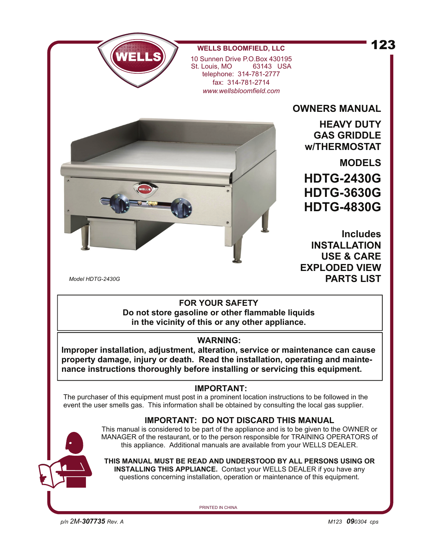## 123



**WELLS BLOOMFIELD, LLC**

10 Sunnen Drive P.O.Box 430195 St. Louis, MO telephone: 314-781-2777 fax: 314-781-2714 *www.wellsbloomfield.com*

**OWNERS MANUAL** 

**HEAVY DUTY GAS GRIDDLE w/THERMOSTAT** 

**MODELS HDTG-2430G HDTG-3630G HDTG-4830G**

**Includes INSTALLATION USE & CARE EXPLODED VIEW PARTS LIST** 

*Model HDTG-2430G* 

## **FOR YOUR SAFETY Do not store gasoline or other flammable liquids in the vicinity of this or any other appliance.**

## **WARNING:**

**Improper installation, adjustment, alteration, service or maintenance can cause property damage, injury or death. Read the installation, operating and maintenance instructions thoroughly before installing or servicing this equipment.** 

## **IMPORTANT:**

The purchaser of this equipment must post in a prominent location instructions to be followed in the event the user smells gas. This information shall be obtained by consulting the local gas supplier.

## **IMPORTANT: DO NOT DISCARD THIS MANUAL**

This manual is considered to be part of the appliance and is to be given to the OWNER or MANAGER of the restaurant, or to the person responsible for TRAINING OPERATORS of this appliance. Additional manuals are available from your WELLS DEALER.

**THIS MANUAL MUST BE READ AND UNDERSTOOD BY ALL PERSONS USING OR INSTALLING THIS APPLIANCE.** Contact your WELLS DEALER if you have any questions concerning installation, operation or maintenance of this equipment.

PRINTED IN CHINA

*p/n 2M-307735 Rev. A M123 090304 cps*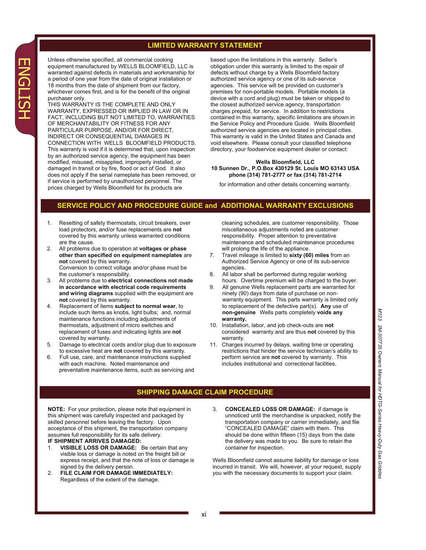#### **LIMITED WARRANTY STATEMENT**

Unless otherwise specified, all commercial cooking equipment manufactured by WELLS BLOOMFIELD, LLC is warranted against defects in materials and workmanship for a period of one year from the date of original installation or 18 months from the date of shipment from our factory, whichever comes first, and is for the benefit of the original purchaser only.

THIS WARRANTY IS THE COMPLETE AND ONLY WARRANTY, EXPRESSED OR IMPLIED IN LAW OR IN FACT, INCLUDING BUT NOT LIMITED TO, WARRANTIES OF MERCHANTABILITY OR FITNESS FOR ANY PARTICULAR PURPOSE, AND/OR FOR DIRECT, INDIRECT OR CONSEQUENTIAL DAMAGES IN CONNECTION WITH WELLS BLOOMFIELD PRODUCTS. This warranty is void if it is determined that, upon inspection by an authorized service agency, the equipment has been modified, misused, misapplied, improperly installed, or damaged in transit or by fire, flood or act of God. It also does not apply if the serial nameplate has been removed, or if service is performed by unauthorized personnel. The prices charged by Wells Bloomfield for its products are

based upon the limitations in this warranty. Seller's obligation under this warranty is limited to the repair of defects without charge by a Wells Bloomfield factory authorized service agency or one of its sub-service agencies. This service will be provided on customer's premises for non-portable models. Portable models (a device with a cord and plug) must be taken or shipped to the closest authorized service agency, transportation charges prepaid, for service. In addition to restrictions contained in this warranty, specific limitations are shown in the Service Policy and Procedure Guide. Wells Bloomfield authorized service agencies are located in principal cities. This warranty is valid in the United States and Canada and void elsewhere. Please consult your classified telephone directory, your foodservice equipment dealer or contact:

#### **Wells Bloomfield, LLC 10 Sunnen Dr., P.O.Box 430129 St. Louis MO 63143 USA phone (314) 781-2777 or fax (314) 781-2714**

for information and other details concerning warranty.

#### **SERVICE POLICY AND PROCEDURE GUIDE and ADDITIONAL WARRANTY EXCLUSIONS**

- 1. Resetting of safety thermostats, circuit breakers, over load protectors, and/or fuse replacements are **not** covered by this warranty unless warranted conditions are the cause.<br>2. All problems d
- 2. All problems due to operation at **voltages or phase other than specified on equipment nameplates** are **not** covered by this warranty. Conversion to correct voltage and/or phase must be the customer's responsibility.
- 3. All problems due to **electrical connections not made in accordance with electrical code requirements and wiring diagrams** supplied with the equipment are **not** covered by this warranty.
- 4. Replacement of items **subject to normal wear**, to include such items as knobs, light bulbs; and, normal maintenance functions including adjustments of thermostats, adjustment of micro switches and replacement of fuses and indicating lights are **not** covered by warranty.
- 5. Damage to electrical cords and/or plug due to exposure to excessive heat are **not** covered by this warranty.
- 6. Full use, care, and maintenance instructions supplied with each machine. Noted maintenance and preventative maintenance items, such as servicing and

 cleaning schedules, are customer responsibility. Those miscellaneous adjustments noted are customer responsibility. Proper attention to preventative maintenance and scheduled maintenance procedures will prolong the life of the appliance.

- 7. Travel mileage is limited to **sixty (60) miles** from an Authorized Service Agency or one of its sub-service agencies.<br>8 All labors
- All labor shall be performed during regular working hours. Overtime premium will be charged to the buyer.
- 9. All genuine Wells replacement parts are warranted for ninety (90) days from date of purchase on nonwarranty equipment. This parts warranty is limited only to replacement of the defective part(s). **Any** use of **non-genuine** Wells parts completely **voids any warranty.**
- 10. Installation, labor, and job check-outs are **not**  considered warranty and are thus **not** covered by this warranty.
- 11. Charges incurred by delays, waiting time or operating restrictions that hinder the service technician's ability to perform service are **not** covered by warranty. This includes institutional and correctional facilities.

#### **SHIPPING DAMAGE CLAIM PROCEDURE**

**NOTE:** For your protection, please note that equipment in this shipment was carefully inspected and packaged by skilled personnel before leaving the factory. Upon acceptance of this shipment, the transportation company assumes full responsibility for its safe delivery. **IF SHIPMENT ARRIVES DAMAGED:**

- 1. **VISIBLE LOSS OR DAMAGE:** Be certain that any visible loss or damage is noted on the freight bill or express receipt, and that the note of loss or damage is signed by the delivery person.
- 2. **FILE CLAIM FOR DAMAGE IMMEDIATELY:**  Regardless of the extent of the damage.
- 3. **CONCEALED LOSS OR DAMAGE:** if damage is unnoticed until the merchandise is unpacked, notify the transportation company or carrier immediately, and file "CONCEALED DAMAGE" claim with them. This should be done within fifteen (15) days from the date the delivery was made to you. Be sure to retain the container for inspection.

Wells Bloomfield cannot assume liability for damage or loss incurred in transit. We will, however, at your request, supply you with the necessary documents to support your claim.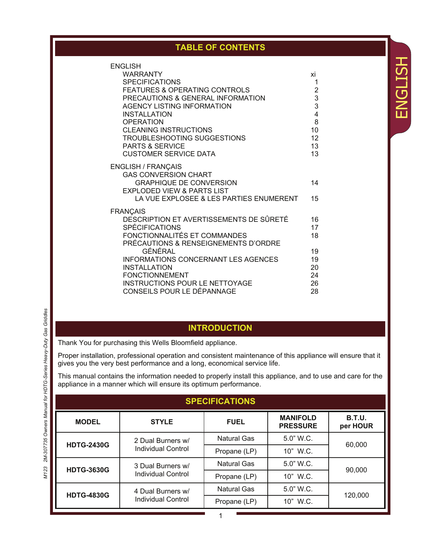## **TABLE OF CONTENTS**

ENGLISH

**ENGLISH** 

| <b>ENGLISH</b>                                              |                         |
|-------------------------------------------------------------|-------------------------|
| <b>WARRANTY</b>                                             | хi                      |
| <b>SPECIFICATIONS</b>                                       | 1                       |
| <b>FEATURES &amp; OPERATING CONTROLS</b>                    | $\overline{\mathbf{c}}$ |
| PRECAUTIONS & GENERAL INFORMATION                           | 3                       |
| <b>AGENCY LISTING INFORMATION</b>                           | 3                       |
| <b>INSTALLATION</b>                                         | 4                       |
| OPERATION                                                   | 8                       |
| <b>CLEANING INSTRUCTIONS</b><br>TROUBLESHOOTING SUGGESTIONS | 10<br>12                |
| <b>PARTS &amp; SERVICE</b>                                  | 13                      |
| <b>CUSTOMER SERVICE DATA</b>                                | 13                      |
|                                                             |                         |
| <b>ENGLISH / FRANÇAIS</b>                                   |                         |
| <b>GAS CONVERSION CHART</b>                                 |                         |
| <b>GRAPHIQUE DE CONVERSION</b>                              | 14                      |
| <b>EXPLODED VIEW &amp; PARTS LIST</b>                       |                         |
| LA VUE EXPLOSEE & LES PARTIES ENUMERENT                     | 15                      |
| <b>FRANÇAIS</b>                                             |                         |
| DESCRIPTION ET AVERTISSEMENTS DE SÛRETÉ                     | 16                      |
| <b>SPÉCIFICATIONS</b>                                       | 17                      |
| FONCTIONNALITÉS ET COMMANDES                                | 18                      |
| PRÉCAUTIONS & RENSEIGNEMENTS D'ORDRE                        |                         |
| GÉNÉRAL                                                     | 19                      |
| <b>INFORMATIONS CONCERNANT LES AGENCES</b>                  | 19                      |
| <b>INSTALLATION</b>                                         | 20                      |
| <b>FONCTIONNEMENT</b>                                       | 24                      |
| <b>INSTRUCTIONS POUR LE NETTOYAGE</b>                       | 26                      |
| CONSEILS POUR LE DÉPANNAGE                                  | 28                      |

## **INTRODUCTION**

Thank You for purchasing this Wells Bloomfield appliance.

Proper installation, professional operation and consistent maintenance of this appliance will ensure that it gives you the very best performance and a long, economical service life.

This manual contains the information needed to properly install this appliance, and to use and care for the appliance in a manner which will ensure its optimum performance.

| <b>SPECIFICATIONS</b> |                           |                    |                                    |                           |
|-----------------------|---------------------------|--------------------|------------------------------------|---------------------------|
| <b>MODEL</b>          | <b>STYLE</b>              | <b>FUEL</b>        | <b>MANIFOLD</b><br><b>PRESSURE</b> | <b>B.T.U.</b><br>per HOUR |
| <b>HDTG-2430G</b>     | 2 Dual Burners w/         | <b>Natural Gas</b> | 5.0" W.C.                          |                           |
|                       | Individual Control        | Propane (LP)       | 10" W.C.                           | 60,000                    |
| <b>HDTG-3630G</b>     | 3 Dual Burners w/         | <b>Natural Gas</b> | $5.0"$ W.C.                        | 90,000                    |
|                       | Individual Control        | Propane (LP)       | 10" W.C.                           |                           |
| <b>HDTG-4830G</b>     | 4 Dual Burners w/         | <b>Natural Gas</b> | 5.0" W.C.                          |                           |
|                       | <b>Individual Control</b> | Propane (LP)       | 10" W.C.                           | 120,000                   |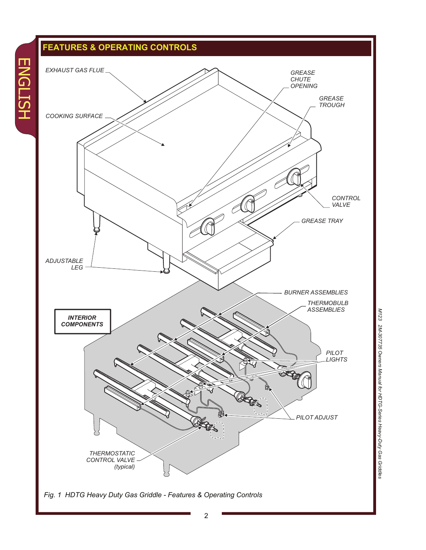## **FEATURES & OPERATING CONTROLS**

ENGLISH

**ENGLISH** 



**M123** *M123 2M-307735 Owners Manual for HDTG-Series Heavy-Duty Gas Griddles* 2M-307735 Owners Manual for HDTG-Series Heavy-Duty Gas Griddles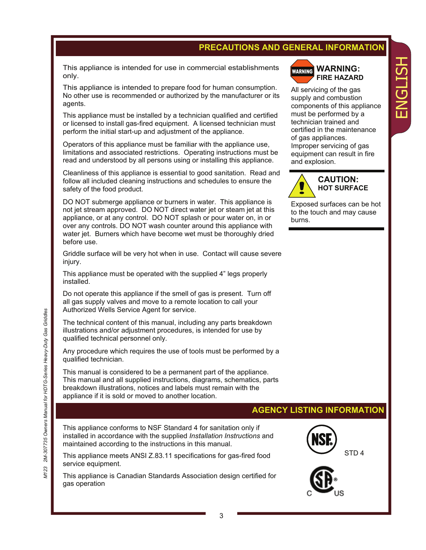## **PRECAUTIONS AND GENERAL INFORMATION**

This appliance is intended for use in commercial establishments only.

This appliance is intended to prepare food for human consumption. No other use is recommended or authorized by the manufacturer or its agents.

This appliance must be installed by a technician qualified and certified or licensed to install gas-fired equipment. A licensed technician must perform the initial start-up and adjustment of the appliance.

Operators of this appliance must be familiar with the appliance use, limitations and associated restrictions. Operating instructions must be read and understood by all persons using or installing this appliance.

Cleanliness of this appliance is essential to good sanitation. Read and follow all included cleaning instructions and schedules to ensure the safety of the food product.

DO NOT submerge appliance or burners in water. This appliance is not jet stream approved. DO NOT direct water jet or steam jet at this appliance, or at any control. DO NOT splash or pour water on, in or over any controls. DO NOT wash counter around this appliance with water jet. Burners which have become wet must be thoroughly dried before use.

Griddle surface will be very hot when in use. Contact will cause severe injury.

This appliance must be operated with the supplied 4" legs properly installed.

Do not operate this appliance if the smell of gas is present. Turn off all gas supply valves and move to a remote location to call your Authorized Wells Service Agent for service.

The technical content of this manual, including any parts breakdown illustrations and/or adjustment procedures, is intended for use by qualified technical personnel only.

Any procedure which requires the use of tools must be performed by a qualified technician.

This manual is considered to be a permanent part of the appliance. This manual and all supplied instructions, diagrams, schematics, parts breakdown illustrations, notices and labels must remain with the appliance if it is sold or moved to another location.

This appliance conforms to NSF Standard 4 for sanitation only if installed in accordance with the supplied *Installation Instructions* and maintained according to the instructions in this manual.

This appliance meets ANSI Z.83.11 specifications for gas-fired food service equipment.

This appliance is Canadian Standards Association design certified for gas operation



All servicing of the gas supply and combustion components of this appliance must be performed by a technician trained and certified in the maintenance of gas appliances. Improper servicing of gas equipment can result in fire and explosion.

ENGLISH

 $\blacksquare$ 

HSLISN



Exposed surfaces can be hot to the touch and may cause burns.

## **AGENCY LISTING INFORMATION**



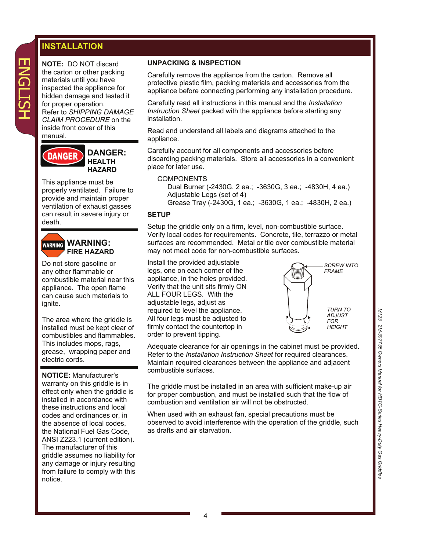## **INSTALLATION**

ENGLISH

**ENGLISH** 

**NOTE:** DO NOT discard the carton or other packing materials until you have inspected the appliance for hidden damage and tested it for proper operation. Refer to *SHIPPING DAMAGE CLAIM PROCEDURE* on the inside front cover of this manual.



This appliance must be properly ventilated. Failure to provide and maintain proper ventilation of exhaust gasses can result in severe injury or death.



**WARNING: FIRE HAZARD** 

Do not store gasoline or any other flammable or combustible material near this appliance. The open flame can cause such materials to ignite.

The area where the griddle is installed must be kept clear of combustibles and flammables. This includes mops, rags, grease, wrapping paper and electric cords.

**NOTICE:** Manufacturer's warranty on this griddle is in effect only when the griddle is installed in accordance with these instructions and local codes and ordinances or, in the absence of local codes, the National Fuel Gas Code, ANSI Z223.1 (current edition). The manufacturer of this griddle assumes no liability for any damage or injury resulting from failure to comply with this notice.

#### **UNPACKING & INSPECTION**

Carefully remove the appliance from the carton. Remove all protective plastic film, packing materials and accessories from the appliance before connecting performing any installation procedure.

Carefully read all instructions in this manual and the *Installation Instruction Sheet* packed with the appliance before starting any installation.

Read and understand all labels and diagrams attached to the appliance.

Carefully account for all components and accessories before discarding packing materials. Store all accessories in a convenient place for later use.

#### COMPONENTS

Dual Burner (-2430G, 2 ea.; -3630G, 3 ea.; -4830H, 4 ea.) Adjustable Legs (set of 4)

Grease Tray (-2430G, 1 ea.; -3630G, 1 ea.; -4830H, 2 ea.)

#### **SETUP**

Setup the griddle only on a firm, level, non-combustible surface. Verify local codes for requirements. Concrete, tile, terrazzo or metal surfaces are recommended. Metal or tile over combustible material may not meet code for non-combustible surfaces.

Install the provided adjustable legs, one on each corner of the appliance, in the holes provided. Verify that the unit sits firmly ON ALL FOUR LEGS. With the adjustable legs, adjust as required to level the appliance. All four legs must be adjusted to firmly contact the countertop in order to prevent tipping.



Adequate clearance for air openings in the cabinet must be provided. Refer to the *Installation Instruction Sheet* for required clearances. Maintain required clearances between the appliance and adjacent combustible surfaces.

The griddle must be installed in an area with sufficient make-up air for proper combustion, and must be installed such that the flow of combustion and ventilation air will not be obstructed.

When used with an exhaust fan, special precautions must be observed to avoid interference with the operation of the griddle, such as drafts and air starvation.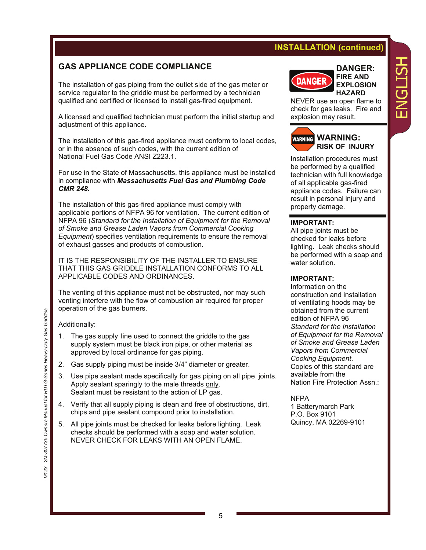## **INSTALLATION (continued)**

## **GAS APPLIANCE CODE COMPLIANCE**

The installation of gas piping from the outlet side of the gas meter or service regulator to the griddle must be performed by a technician qualified and certified or licensed to install gas-fired equipment.

A licensed and qualified technician must perform the initial startup and adjustment of this appliance.

The installation of this gas-fired appliance must conform to local codes, or in the absence of such codes, with the current edition of National Fuel Gas Code ANSI Z223.1.

For use in the State of Massachusetts, this appliance must be installed in compliance with *Massachusetts Fuel Gas and Plumbing Code CMR 248.*

The installation of this gas-fired appliance must comply with applicable portions of NFPA 96 for ventilation. The current edition of NFPA 96 (*Standard for the Installation of Equipment for the Removal of Smoke and Grease Laden Vapors from Commercial Cooking Equipment*) specifies ventilation requirements to ensure the removal of exhaust gasses and products of combustion.

IT IS THE RESPONSIBILITY OF THE INSTALLER TO ENSURE THAT THIS GAS GRIDDLE INSTALLATION CONFORMS TO ALL APPLICABLE CODES AND ORDINANCES.

The venting of this appliance must not be obstructed, nor may such venting interfere with the flow of combustion air required for proper operation of the gas burners.

Additionally:

- 1. The gas supply line used to connect the griddle to the gas supply system must be black iron pipe, or other material as approved by local ordinance for gas piping.
- 2. Gas supply piping must be inside 3/4" diameter or greater.
- 3. Use pipe sealant made specifically for gas piping on all pipe joints. Apply sealant sparingly to the male threads only. Sealant must be resistant to the action of LP gas.
- 4. Verify that all supply piping is clean and free of obstructions, dirt, chips and pipe sealant compound prior to installation.
- 5. All pipe joints must be checked for leaks before lighting. Leak checks should be performed with a soap and water solution. NEVER CHECK FOR LEAKS WITH AN OPEN FLAME.



**DANGER: FIRE AND EXPLOSION HAZARD** 

ENGLISH

 $\blacksquare$ 

NEVER use an open flame to check for gas leaks. Fire and explosion may result.



Installation procedures must be performed by a qualified technician with full knowledge of all applicable gas-fired appliance codes. Failure can result in personal injury and property damage.

#### **IMPORTANT:**

All pipe joints must be checked for leaks before lighting. Leak checks should be performed with a soap and water solution.

#### **IMPORTANT:**

Information on the construction and installation of ventilating hoods may be obtained from the current edition of NFPA 96 *Standard for the Installation of Equipment for the Removal of Smoke and Grease Laden Vapors from Commercial Cooking Equipment*. Copies of this standard are available from the Nation Fire Protection Assn.:

#### NFPA

1 Batterymarch Park P.O. Box 9101 Quincy, MA 02269-9101

*M123 2M-307735 Owners Manual for HDTG-Series Heavy-Duty Gas Griddles* 2M-307735 Owners Manual for HDTG-Series Heavy-Duty Gas Griddles M123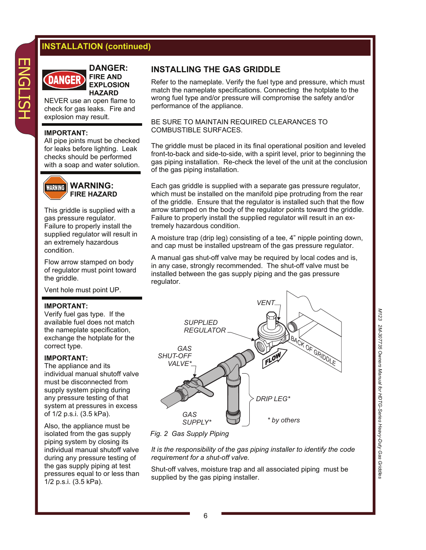## **INSTALLATION (continued)**



**DANGER: FIRE AND CDANGER EXPLOSION HAZARD** 

NEVER use an open flame to check for gas leaks. Fire and explosion may result.

#### **IMPORTANT:**

All pipe joints must be checked for leaks before lighting. Leak checks should be performed with a soap and water solution.



#### **WARNING: FIRE HAZARD**

This griddle is supplied with a gas pressure regulator. Failure to properly install the supplied regulator will result in an extremely hazardous condition.

Flow arrow stamped on body of regulator must point toward the griddle.

Vent hole must point UP.

#### **IMPORTANT:**

Verify fuel gas type. If the available fuel does not match the nameplate specification, exchange the hotplate for the correct type.

#### **IMPORTANT:**

The appliance and its individual manual shutoff valve must be disconnected from supply system piping during any pressure testing of that system at pressures in excess of 1/2 p.s.i. (3.5 kPa).

Also, the appliance must be isolated from the gas supply piping system by closing its individual manual shutoff valve during any pressure testing of the gas supply piping at test pressures equal to or less than 1/2 p.s.i. (3.5 kPa).

#### **INSTALLING THE GAS GRIDDLE**

Refer to the nameplate. Verify the fuel type and pressure, which must match the nameplate specifications. Connecting the hotplate to the wrong fuel type and/or pressure will compromise the safety and/or performance of the appliance.

#### BE SURE TO MAINTAIN REQUIRED CLEARANCES TO COMBUSTIBLE SURFACES.

The griddle must be placed in its final operational position and leveled front-to-back and side-to-side, with a spirit level, prior to beginning the gas piping installation. Re-check the level of the unit at the conclusion of the gas piping installation.

Each gas griddle is supplied with a separate gas pressure regulator, which must be installed on the manifold pipe protruding from the rear of the griddle. Ensure that the regulator is installed such that the flow arrow stamped on the body of the regulator points toward the griddle. Failure to properly install the supplied regulator will result in an extremely hazardous condition.

A moisture trap (drip leg) consisting of a tee, 4" nipple pointing down, and cap must be installed upstream of the gas pressure regulator.

A manual gas shut-off valve may be required by local codes and is, in any case, strongly recommended. The shut-off valve must be installed between the gas supply piping and the gas pressure regulator.



*Fig. 2 Gas Supply Piping* 

*It is the responsibility of the gas piping installer to identify the code requirement for a shut-off valve.* 

Shut-off valves, moisture trap and all associated piping must be supplied by the gas piping installer.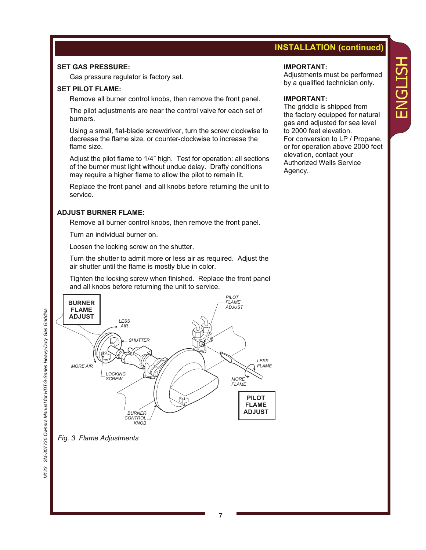## **INSTALLATION (continued)**

Adjustments must be performed by a qualified technician only.

For conversion to LP / Propane, or for operation above 2000 feet

The griddle is shipped from the factory equipped for natural gas and adjusted for sea level

to 2000 feet elevation.

elevation, contact your Authorized Wells Service

**IMPORTANT:** 

**IMPORTANT:** 

Agency.

#### **SET GAS PRESSURE:**

Gas pressure regulator is factory set.

#### **SET PILOT FLAME:**

Remove all burner control knobs, then remove the front panel.

 The pilot adjustments are near the control valve for each set of burners.

 Using a small, flat-blade screwdriver, turn the screw clockwise to decrease the flame size, or counter-clockwise to increase the flame size.

 Adjust the pilot flame to 1/4" high. Test for operation: all sections of the burner must light without undue delay. Drafty conditions may require a higher flame to allow the pilot to remain lit.

 Replace the front panel and all knobs before returning the unit to service.

#### **ADJUST BURNER FLAME:**

Remove all burner control knobs, then remove the front panel.

Turn an individual burner on.

Loosen the locking screw on the shutter.

 Turn the shutter to admit more or less air as required. Adjust the air shutter until the flame is mostly blue in color.

 Tighten the locking screw when finished. Replace the front panel and all knobs before returning the unit to service.



*Fig. 3 Flame Adjustments* 

M123

# ENGLISH HSLISN  $\overline{\mathbf{u}}$

7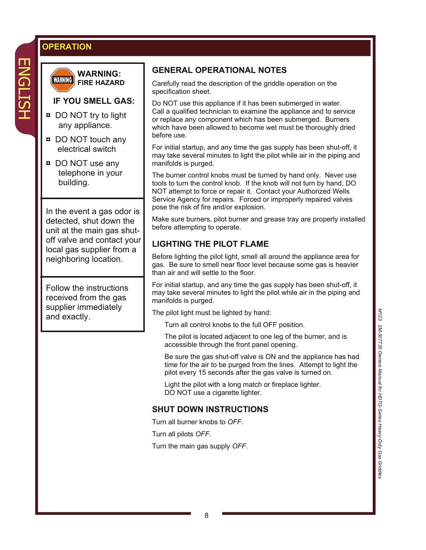## **OPERATION**



**WARNING: WARNING FIRE HAZARD** 

## **IF YOU SMELL GAS:**

- **¤** DO NOT try to light any appliance.
- **¤** DO NOT touch any electrical switch
- **¤** DO NOT use any telephone in your building.

In the event a gas odor is detected, shut down the unit at the main gas shutoff valve and contact your local gas supplier from a neighboring location.

Follow the instructions received from the gas supplier immediately and exactly.

## **GENERAL OPERATIONAL NOTES**

Carefully read the description of the griddle operation on the specification sheet.

Do NOT use this appliance if it has been submerged in water. Call a qualified technician to examine the appliance and to service or replace any component which has been submerged. Burners which have been allowed to become wet must be thoroughly dried before use.

For initial startup, and any time the gas supply has been shut-off, it may take several minutes to light the pilot while air in the piping and manifolds is purged.

The burner control knobs must be turned by hand only. Never use tools to turn the control knob. If the knob will not turn by hand, DO NOT attempt to force or repair it. Contact your Authorized Wells Service Agency for repairs. Forced or improperly repaired valves pose the risk of fire and/or explosion.

Make sure burners, pilot burner and grease tray are properly installed before attempting to operate.

## **LIGHTING THE PILOT FLAME**

Before lighting the pilot light, smell all around the appliance area for gas. Be sure to smell near floor level because some gas is heavier than air and will settle to the floor.

For initial startup, and any time the gas supply has been shut-off, it may take several minutes to light the pilot while air in the piping and manifolds is purged.

The pilot light must be lighted by hand:

Turn all control knobs to the full OFF position.

 The pilot is located adjacent to one leg of the burner, and is accessible through the front panel opening.

 Be sure the gas shut-off valve is ON and the appliance has had time for the air to be purged from the lines. Attempt to light the pilot every 15 seconds after the gas valve is turned on.

 Light the pilot with a long match or fireplace lighter. DO NOT use a cigarette lighter.

## **SHUT DOWN INSTRUCTIONS**

Turn all burner knobs to *OFF*.

Turn all pilots *OFF*.

Turn the main gas supply *OFF*.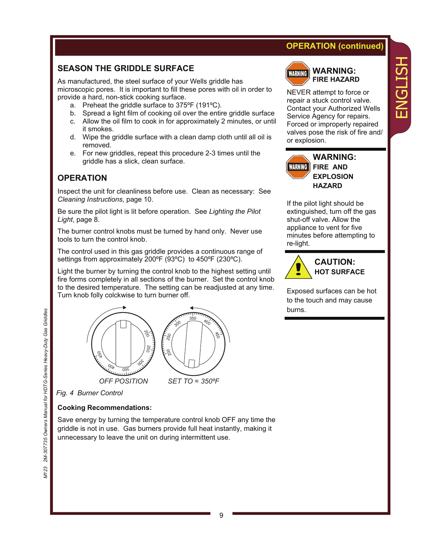## **OPERATION (continued)**

## **SEASON THE GRIDDLE SURFACE**

As manufactured, the steel surface of your Wells griddle has microscopic pores. It is important to fill these pores with oil in order to provide a hard, non-stick cooking surface.

- a. Preheat the griddle surface to 375ºF (191ºC).
- b. Spread a light film of cooking oil over the entire griddle surface
- c. Allow the oil film to cook in for approximately 2 minutes, or until it smokes.
- d. Wipe the griddle surface with a clean damp cloth until all oil is removed.
- e. For new griddles, repeat this procedure 2-3 times until the griddle has a slick, clean surface.

## **OPERATION**

Inspect the unit for cleanliness before use. Clean as necessary: See *Cleaning Instructions*, page 10.

Be sure the pilot light is lit before operation. See *Lighting the Pilot Light*, page 8.

The burner control knobs must be turned by hand only. Never use tools to turn the control knob.

The control used in this gas griddle provides a continuous range of settings from approximately 200ºF (93ºC) to 450ºF (230ºC).

Light the burner by turning the control knob to the highest setting until fire forms completely in all sections of the burner. Set the control knob to the desired temperature. The setting can be readjusted at any time. Turn knob folly colckwise to turn burner off.



*Fig. 4 Burner Control* 

#### **Cooking Recommendations:**

Save energy by turning the temperature control knob OFF any time the griddle is not in use. Gas burners provide full heat instantly, making it unnecessary to leave the unit on during intermittent use.



#### **WARNING: FIRE HAZARD**

NEVER attempt to force or repair a stuck control valve. Contact your Authorized Wells Service Agency for repairs. Forced or improperly repaired valves pose the risk of fire and/ or explosion.

ENGLISH

 $\overline{\mathbf{u}}$ 

HSLISN



If the pilot light should be extinguished, turn off the gas shut-off valve. Allow the appliance to vent for five minutes before attempting to re-light.



Exposed surfaces can be hot to the touch and may cause burns.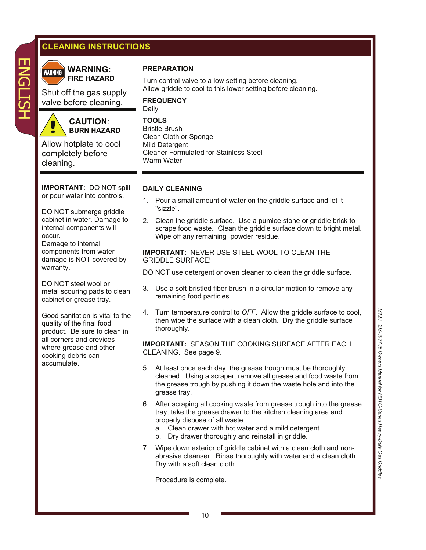## **CLEANING INSTRUCTIONS**



**WARNING: WARNING FIRE HAZARD** 

Shut off the gas supply valve before cleaning.



**CAUTION**: **BURN HAZARD** 

Allow hotplate to cool completely before cleaning.

**IMPORTANT:** DO NOT spill or pour water into controls.

DO NOT submerge griddle cabinet in water. Damage to internal components will occur.

Damage to internal components from water damage is NOT covered by warranty.

DO NOT steel wool or metal scouring pads to clean cabinet or grease tray.

Good sanitation is vital to the quality of the final food product. Be sure to clean in all corners and crevices where grease and other cooking debris can accumulate.

## **PREPARATION**

Turn control valve to a low setting before cleaning. Allow griddle to cool to this lower setting before cleaning.

**FREQUENCY**  Daily

**TOOLS**  Bristle Brush Clean Cloth or Sponge Mild Detergent Cleaner Formulated for Stainless Steel Warm Water

#### **DAILY CLEANING**

- 1. Pour a small amount of water on the griddle surface and let it "sizzle".
- 2. Clean the griddle surface. Use a pumice stone or griddle brick to scrape food waste. Clean the griddle surface down to bright metal. Wipe off any remaining powder residue.

**IMPORTANT:** NEVER USE STEEL WOOL TO CLEAN THE GRIDDLE SURFACE!

DO NOT use detergent or oven cleaner to clean the griddle surface.

- 3. Use a soft-bristled fiber brush in a circular motion to remove any remaining food particles.
- 4. Turn temperature control to *OFF*. Allow the griddle surface to cool, then wipe the surface with a clean cloth. Dry the griddle surface thoroughly.

**IMPORTANT:** SEASON THE COOKING SURFACE AFTER EACH CLEANING. See page 9.

- 5. At least once each day, the grease trough must be thoroughly cleaned. Using a scraper, remove all grease and food waste from the grease trough by pushing it down the waste hole and into the grease tray.
- 6. After scraping all cooking waste from grease trough into the grease tray, take the grease drawer to the kitchen cleaning area and properly dispose of all waste.
	- a. Clean drawer with hot water and a mild detergent.
	- b. Dry drawer thoroughly and reinstall in griddle.
- 7. Wipe down exterior of griddle cabinet with a clean cloth and non abrasive cleanser. Rinse thoroughly with water and a clean cloth. Dry with a soft clean cloth.

Procedure is complete.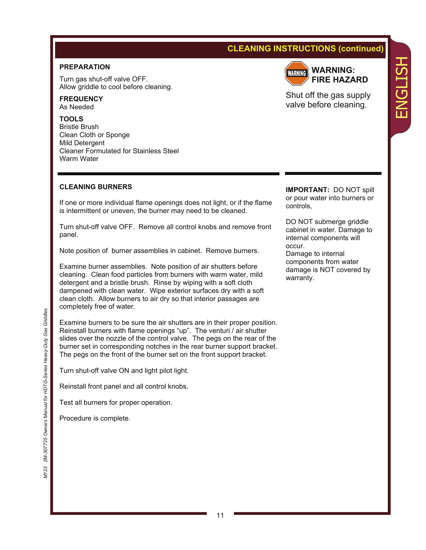## **CLEANING INSTRUCTIONS (continued)**

#### **PREPARATION**

Turn gas shut-off valve OFF. Allow griddle to cool before cleaning.

**FREQUENCY**  As Needed

**TOOLS**  Bristle Brush Clean Cloth or Sponge Mild Detergent Cleaner Formulated for Stainless Steel Warm Water

#### **CLEANING BURNERS**

If one or more individual flame openings does not light, or if the flame is intermittent or uneven, the burner may need to be cleaned.

Turn shut-off valve OFF. Remove all control knobs and remove front panel.

Note position of burner assemblies in cabinet. Remove burners.

Examine burner assemblies. Note position of air shutters before cleaning. Clean food particles from burners with warm water, mild detergent and a bristle brush. Rinse by wiping with a soft cloth dampened with clean water. Wipe exterior surfaces dry with a soft clean cloth. Allow burners to air dry so that interior passages are completely free of water.

Examine burners to be sure the air shutters are in their proper position. Reinstall burners with flame openings "up". The venturi / air shutter slides over the nozzle of the control valve. The pegs on the rear of the burner set in corresponding notches in the rear burner support bracket. The pegs on the front of the burner set on the front support bracket.

Turn shut-off valve ON and light pilot light.

Reinstall front panel and all control knobs.

Test all burners for proper operation.

Procedure is complete.



**WARNING: FIRE HAZARD**  ENGLISH

HSTTDNE

Shut off the gas supply valve before cleaning.

**IMPORTANT:** DO NOT spill or pour water into burners or controls,

DO NOT submerge griddle cabinet in water. Damage to internal components will occur.

Damage to internal components from water damage is NOT covered by warranty.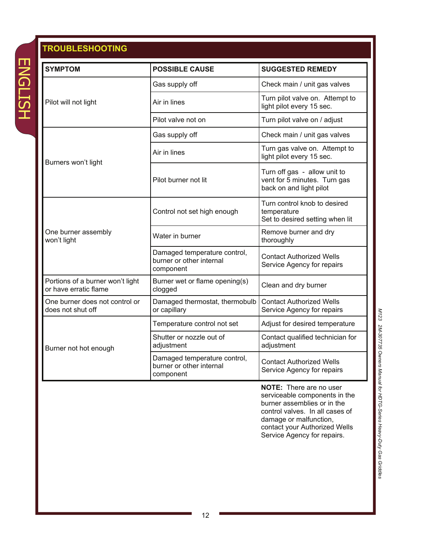# **ENGLISH** ENGLISH

## **TROUBLESHOOTING**

| <b>SYMPTOM</b>                                            | <b>POSSIBLE CAUSE</b>                                                 | <b>SUGGESTED REMEDY</b>                                                                 |
|-----------------------------------------------------------|-----------------------------------------------------------------------|-----------------------------------------------------------------------------------------|
|                                                           | Gas supply off                                                        | Check main / unit gas valves                                                            |
| Pilot will not light                                      | Air in lines                                                          | Turn pilot valve on. Attempt to<br>light pilot every 15 sec.                            |
|                                                           | Pilot valve not on                                                    | Turn pilot valve on / adjust                                                            |
|                                                           | Gas supply off                                                        | Check main / unit gas valves                                                            |
| Burners won't light                                       | Air in lines                                                          | Turn gas valve on. Attempt to<br>light pilot every 15 sec.                              |
|                                                           | Pilot burner not lit                                                  | Turn off gas - allow unit to<br>vent for 5 minutes. Turn gas<br>back on and light pilot |
|                                                           | Control not set high enough                                           | Turn control knob to desired<br>temperature<br>Set to desired setting when lit          |
| One burner assembly<br>won't light                        | Water in burner                                                       | Remove burner and dry<br>thoroughly                                                     |
|                                                           | Damaged temperature control,<br>burner or other internal<br>component | <b>Contact Authorized Wells</b><br>Service Agency for repairs                           |
| Portions of a burner won't light<br>or have erratic flame | Burner wet or flame opening(s)<br>clogged                             | Clean and dry burner                                                                    |
| One burner does not control or<br>does not shut off       | Damaged thermostat, thermobulb<br>or capillary                        | <b>Contact Authorized Wells</b><br>Service Agency for repairs                           |
|                                                           | Temperature control not set                                           | Adjust for desired temperature                                                          |
| Burner not hot enough                                     | Shutter or nozzle out of<br>adjustment                                | Contact qualified technician for<br>adjustment                                          |
|                                                           | Damaged temperature control,<br>burner or other internal<br>component | <b>Contact Authorized Wells</b><br>Service Agency for repairs                           |
|                                                           |                                                                       | <b>NOTE:</b> There are no user                                                          |

serviceable components in the burner assemblies or in the control valves. In all cases of damage or malfunction, contact your Authorized Wells Service Agency for repairs.

M123 2M-307735 Owners Manual for HDTG-Series Heavy-Duty Gas Griddles *M123 2M-307735 Owners Manual for HDTG-Series Heavy-Duty Gas Griddles*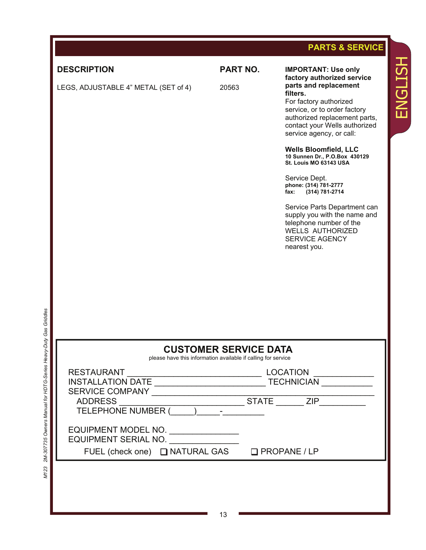|                                                |                                                                                               | <b>PARTS &amp; SERVICE</b>                                                                                                                                                                |
|------------------------------------------------|-----------------------------------------------------------------------------------------------|-------------------------------------------------------------------------------------------------------------------------------------------------------------------------------------------|
| <b>DESCRIPTION</b>                             | <b>PART NO.</b>                                                                               | <b>IMPORTANT: Use only</b><br>factory authorized service                                                                                                                                  |
| LEGS, ADJUSTABLE 4" METAL (SET of 4)           | 20563                                                                                         | parts and replacement<br>filters.<br>For factory authorized<br>service, or to order factory<br>authorized replacement parts,<br>contact your Wells authorized<br>service agency, or call: |
|                                                |                                                                                               | <b>Wells Bloomfield, LLC</b><br>10 Sunnen Dr., P.O.Box 430129<br>St. Louis MO 63143 USA                                                                                                   |
|                                                |                                                                                               | Service Dept.<br>phone: (314) 781-2777<br>(314) 781-2714<br>fax:                                                                                                                          |
|                                                |                                                                                               | Service Parts Department can<br>supply you with the name and<br>telephone number of the<br><b>WELLS AUTHORIZED</b><br><b>SERVICE AGENCY</b><br>nearest you.                               |
|                                                |                                                                                               |                                                                                                                                                                                           |
|                                                |                                                                                               |                                                                                                                                                                                           |
| Duty Gas Griddles                              |                                                                                               |                                                                                                                                                                                           |
|                                                | <b>CUSTOMER SERVICE DATA</b><br>please have this information available if calling for service |                                                                                                                                                                                           |
| 2M-307735 Owners Manual for HDTG-Series Heavy- |                                                                                               |                                                                                                                                                                                           |
|                                                |                                                                                               |                                                                                                                                                                                           |
|                                                |                                                                                               |                                                                                                                                                                                           |
|                                                |                                                                                               |                                                                                                                                                                                           |
|                                                |                                                                                               |                                                                                                                                                                                           |
|                                                |                                                                                               |                                                                                                                                                                                           |

ENGLISH

ENGLISH

13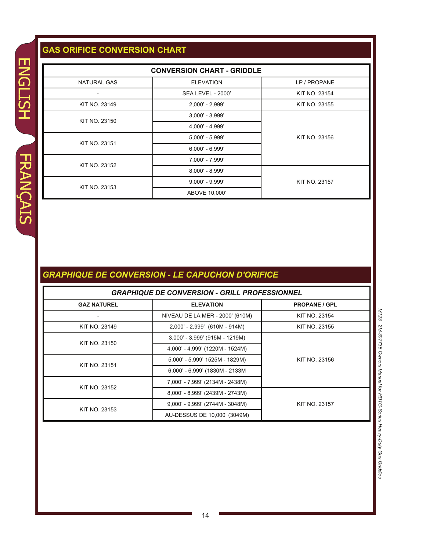## **GAS ORIFICE CONVERSION CHART**

| <b>NATURAL GAS</b>                                     |                                                      |                      |  |
|--------------------------------------------------------|------------------------------------------------------|----------------------|--|
|                                                        | <b>ELEVATION</b>                                     | LP / PROPANE         |  |
|                                                        | <b>SEA LEVEL - 2000'</b>                             | KIT NO. 23154        |  |
| <b>KIT NO. 23149</b>                                   | 2,000' - 2,999'                                      | KIT NO. 23155        |  |
| KIT NO. 23150                                          | 3,000' - 3,999'                                      |                      |  |
|                                                        | 4,000' - 4,999'                                      |                      |  |
| <b>KIT NO. 23151</b>                                   | 5,000' - 5,999'                                      | <b>KIT NO. 23156</b> |  |
|                                                        | $6,000' - 6,999'$                                    |                      |  |
| <b>KIT NO. 23152</b>                                   | 7,000' - 7,999'                                      |                      |  |
|                                                        | 8,000' - 8,999'                                      |                      |  |
| <b>KIT NO. 23153</b>                                   | $9,000' - 9,999'$                                    | KIT NO. 23157        |  |
|                                                        | ABOVE 10,000'                                        |                      |  |
|                                                        | <b>APHIQUE DE CONVERSION - LE CAPUCHON D'ORIFICE</b> |                      |  |
|                                                        | <b>GRAPHIQUE DE CONVERSION - GRILL PROFESSIONNEL</b> |                      |  |
|                                                        | <b>ELEVATION</b>                                     | <b>PROPANE / GPL</b> |  |
|                                                        | NIVEAU DE LA MER - 2000' (610M)                      | <b>KIT NO. 23154</b> |  |
|                                                        | 2,000' - 2,999' (610M - 914M)                        | KIT NO. 23155        |  |
|                                                        | 3,000' - 3,999' (915M - 1219M)                       |                      |  |
| <b>GAZ NATUREL</b><br>KIT NO. 23149<br>KIT NO. 23150   | 4,000' - 4,999' (1220M - 1524M)                      |                      |  |
|                                                        | 5,000' - 5,999' 1525M - 1829M)                       | KIT NO. 23156        |  |
|                                                        | 6,000' - 6,999' (1830M - 2133M                       |                      |  |
|                                                        | 7,000' - 7,999' (2134M - 2438M)                      |                      |  |
|                                                        | 8,000' - 8,999' (2439M - 2743M)                      |                      |  |
| <b>KIT NO. 23151</b><br>KIT NO. 23152<br>KIT NO. 23153 | 9,000' - 9,999' (2744M - 3048M)                      | KIT NO. 23157        |  |

## *GRAPHIQUE DE CONVERSION - LE CAPUCHON D'ORIFICE*

#### *GRAPHIQUE DE CONVERSION - GRILL PROFESSIONNEL*

| <b>GAZ NATUREL</b>   | <b>ELEVATION</b>                | <b>PROPANE / GPL</b> |
|----------------------|---------------------------------|----------------------|
|                      | NIVEAU DE LA MER - 2000' (610M) | KIT NO. 23154        |
| KIT NO. 23149        | 2,000' - 2,999' (610M - 914M)   | <b>KIT NO. 23155</b> |
| KIT NO. 23150        | 3,000' - 3,999' (915M - 1219M)  |                      |
|                      | 4,000' - 4,999' (1220M - 1524M) |                      |
| <b>KIT NO. 23151</b> | 5,000' - 5,999' 1525M - 1829M)  | KIT NO. 23156        |
|                      | 6,000' - 6,999' (1830M - 2133M  |                      |
| <b>KIT NO. 23152</b> | 7,000' - 7,999' (2134M - 2438M) |                      |
|                      | 8,000' - 8,999' (2439M - 2743M) |                      |
| <b>KIT NO. 23153</b> | 9,000' - 9,999' (2744M - 3048M) | <b>KIT NO. 23157</b> |
|                      | AU-DESSUS DE 10,000' (3049M)    |                      |

**M123** *M123 2M-307735 Owners Manual for HDTG-Series Heavy-Duty Gas Griddles* 2M-307735 Owners Manual for HDTG-Series Heavy-Duty Gas Griddles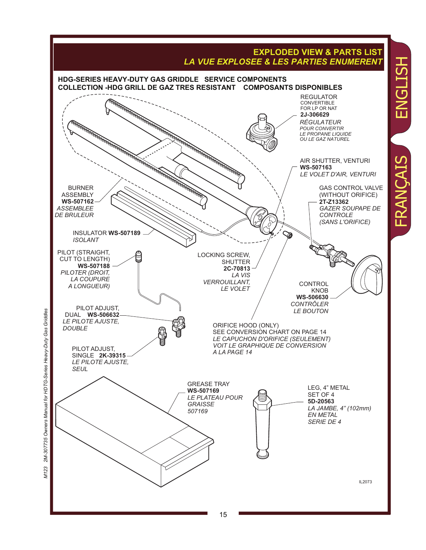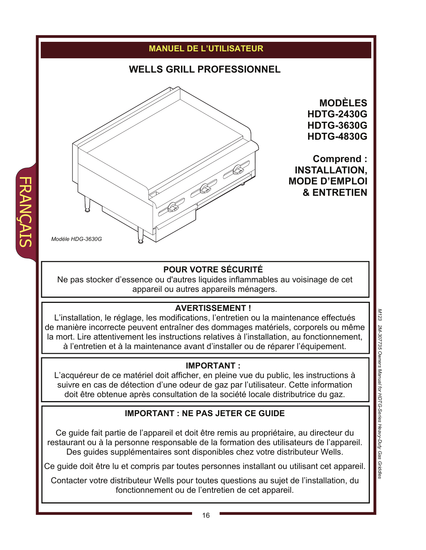

FRANÇAIS

## **IMPORTANT : NE PAS JETER CE GUIDE**

Ce guide fait partie de l'appareil et doit être remis au propriétaire, au directeur du restaurant ou à la personne responsable de la formation des utilisateurs de l'appareil. Des guides supplémentaires sont disponibles chez votre distributeur Wells.

Ce guide doit être lu et compris par toutes personnes installant ou utilisant cet appareil.

Contacter votre distributeur Wells pour toutes questions au sujet de l'installation, du fonctionnement ou de l'entretien de cet appareil.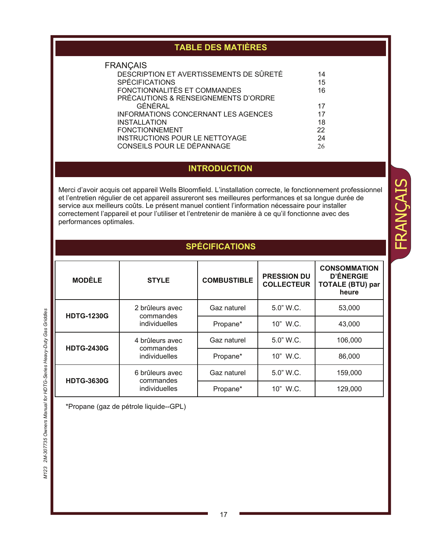| <b>TABLE DES MATIÈRES</b>                                                                                                                                                                                                                                                                                                                                                                                                                                                           |                                                                                                                                                                                                                                                                                                                                                                                            |                     |                                         |                                                                             |
|-------------------------------------------------------------------------------------------------------------------------------------------------------------------------------------------------------------------------------------------------------------------------------------------------------------------------------------------------------------------------------------------------------------------------------------------------------------------------------------|--------------------------------------------------------------------------------------------------------------------------------------------------------------------------------------------------------------------------------------------------------------------------------------------------------------------------------------------------------------------------------------------|---------------------|-----------------------------------------|-----------------------------------------------------------------------------|
|                                                                                                                                                                                                                                                                                                                                                                                                                                                                                     | <b>FRANÇAIS</b><br>DESCRIPTION ET AVERTISSEMENTS DE SÛRETÉ<br>14<br><b>SPÉCIFICATIONS</b><br>15<br>FONCTIONNALITÉS ET COMMANDES<br>16<br>PRÉCAUTIONS & RENSEIGNEMENTS D'ORDRE<br>GÉNÉRAL<br>17<br><b>INFORMATIONS CONCERNANT LES AGENCES</b><br>17<br><b>INSTALLATION</b><br>18<br><b>FONCTIONNEMENT</b><br>22<br>INSTRUCTIONS POUR LE NETTOYAGE<br>24<br>CONSEILS POUR LE DÉPANNAGE<br>26 |                     |                                         |                                                                             |
|                                                                                                                                                                                                                                                                                                                                                                                                                                                                                     |                                                                                                                                                                                                                                                                                                                                                                                            | <b>INTRODUCTION</b> |                                         |                                                                             |
| Merci d'avoir acquis cet appareil Wells Bloomfield. L'installation correcte, le fonctionnement professionnel<br>et l'entretien régulier de cet appareil assureront ses meilleures performances et sa longue durée de<br>service aux meilleurs coûts. Le présent manuel contient l'information nécessaire pour installer<br>correctement l'appareil et pour l'utiliser et l'entretenir de manière à ce qu'il fonctionne avec des<br>performances optimales.<br><b>SPÉCIFICATIONS</b> |                                                                                                                                                                                                                                                                                                                                                                                            |                     |                                         |                                                                             |
| <b>MODÈLE</b>                                                                                                                                                                                                                                                                                                                                                                                                                                                                       | <b>STYLE</b>                                                                                                                                                                                                                                                                                                                                                                               | <b>COMBUSTIBLE</b>  | <b>PRESSION DU</b><br><b>COLLECTEUR</b> | <b>CONSOMMATION</b><br><b>D'ÉNERGIE</b><br><b>TOTALE (BTU) par</b><br>heure |
| <b>HDTG-1230G</b>                                                                                                                                                                                                                                                                                                                                                                                                                                                                   | 2 brûleurs avec<br>commandes                                                                                                                                                                                                                                                                                                                                                               | Gaz naturel         | 5.0" W.C.                               | 53,000                                                                      |
|                                                                                                                                                                                                                                                                                                                                                                                                                                                                                     | individuelles                                                                                                                                                                                                                                                                                                                                                                              | Propane*            | 10" W.C.                                | 43,000                                                                      |
| <b>HDTG-2430G</b>                                                                                                                                                                                                                                                                                                                                                                                                                                                                   | 4 brûleurs avec<br>commandes                                                                                                                                                                                                                                                                                                                                                               | Gaz naturel         | 5.0" W.C.                               | 106,000                                                                     |
|                                                                                                                                                                                                                                                                                                                                                                                                                                                                                     | individuelles                                                                                                                                                                                                                                                                                                                                                                              | Propane*            | 10" W.C.                                | 86,000                                                                      |
| <b>HDTG-3630G</b>                                                                                                                                                                                                                                                                                                                                                                                                                                                                   | 6 brûleurs avec<br>commandes                                                                                                                                                                                                                                                                                                                                                               | Gaz naturel         | 5.0" W.C.                               | 159,000                                                                     |
|                                                                                                                                                                                                                                                                                                                                                                                                                                                                                     | individuelles                                                                                                                                                                                                                                                                                                                                                                              | Propane*            | 10" W.C.                                | 129,000                                                                     |

FRANÇAIS

\*Propane (gaz de pétrole liquide--GPL)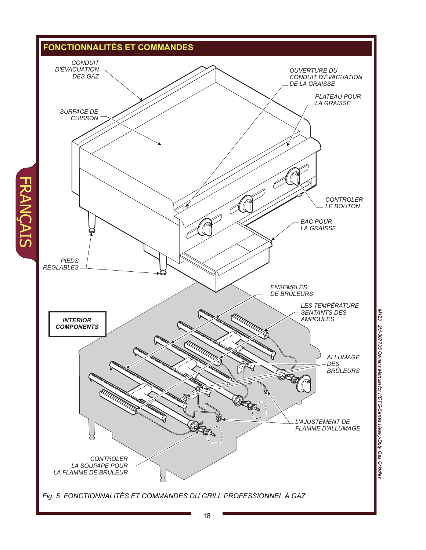

**FRANCAIS** 

18

*M123 2M-307735 Owners Manual for HDTG-Series Heavy-Duty Gas Griddles*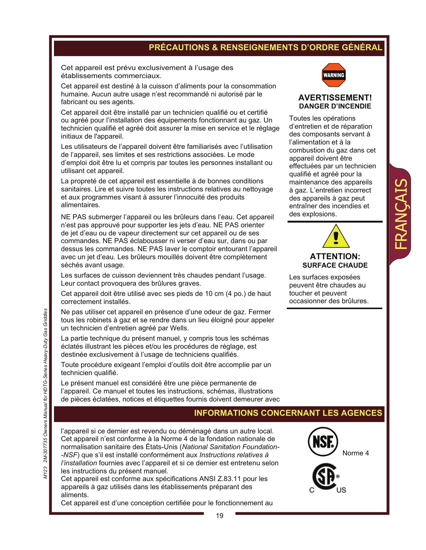## **PRÉCAUTIONS & RENSEIGNEMENTS D'ORDRE GÉNÉRAL**

Cet appareil est prévu exclusivement à l'usage des établissements commerciaux.

Cet appareil est destiné à la cuisson d'aliments pour la consommation humaine. Aucun autre usage n'est recommandé ni autorisé par le fabricant ou ses agents.

Cet appareil doit être installé par un technicien qualifié ou et certifié ou agréé pour l'installation des équipements fonctionnant au gaz. Un technicien qualifié et agréé doit assurer la mise en service et le réglage initiaux de l'appareil.

Les utilisateurs de l'appareil doivent être familiarisés avec l'utilisation de l'appareil, ses limites et ses restrictions associées. Le mode d'emploi doit être lu et compris par toutes les personnes installant ou utilisant cet appareil.

La propreté de cet appareil est essentielle à de bonnes conditions sanitaires. Lire et suivre toutes les instructions relatives au nettoyage et aux programmes visant à assurer l'innocuité des produits alimentaires.

NE PAS submerger l'appareil ou les brûleurs dans l'eau. Cet appareil n'est pas approuvé pour supporter les jets d'eau. NE PAS orienter de jet d'eau ou de vapeur directement sur cet appareil ou de ses commandes. NE PAS éclabousser ni verser d'eau sur, dans ou par dessus les commandes. NE PAS laver le comptoir entourant l'appareil avec un jet d'eau. Les brûleurs mouillés doivent être complètement séchés avant usage.

Les surfaces de cuisson deviennent très chaudes pendant l'usage. Leur contact provoquera des brûlures graves.

Cet appareil doit être utilisé avec ses pieds de 10 cm (4 po.) de haut correctement installés.

Ne pas utiliser cet appareil en présence d'une odeur de gaz. Fermer tous les robinets à gaz et se rendre dans un lieu éloigné pour appeler un technicien d'entretien agréé par Wells.

La partie technique du présent manuel, y compris tous les schémas éclatés illustrant les pièces et/ou les procédures de réglage, est destinée exclusivement à l'usage de techniciens qualifiés.

Toute procédure exigeant l'emploi d'outils doit être accomplie par un technicien qualifié.

Le présent manuel est considéré être une pièce permanente de l'appareil. Ce manuel et toutes les instructions, schémas, illustrations de pièces éclatées, notices et étiquettes fournis doivent demeurer avec

## **INFORMATIONS CONCERNANT LES AGENCES**

l'appareil si ce dernier est revendu ou déménagé dans un autre local. Cet appareil n'est conforme à la Norme 4 de la fondation nationale de normalisation sanitaire des États-Unis (*National Sanitation Foundation- -NSF*) que s'il est installé conformément aux *Instructions relatives à l'installation* fournies avec l'appareil et si ce dernier est entretenu selon les instructions du présent manuel.

Cet appareil est conforme aux spécifications ANSI Z.83.11 pour les appareils à gaz utilisés dans les établissements préparant des aliments.

Cet appareil est d'une conception certifiée pour le fonctionnement au



#### **AVERTISSEMENT! DANGER D'INCENDIE**

Toutes les opérations d'entretien et de réparation des composants servant à l'alimentation et à la combustion du gaz dans cet appareil doivent être effectuées par un technicien qualifié et agréé pour la maintenance des appareils à gaz. L'entretien incorrect des appareils à gaz peut entraîner des incendies et des explosions.



FRANÇAIS

Les surfaces exposées peuvent être chaudes au toucher et peuvent occasionner des brûlures.



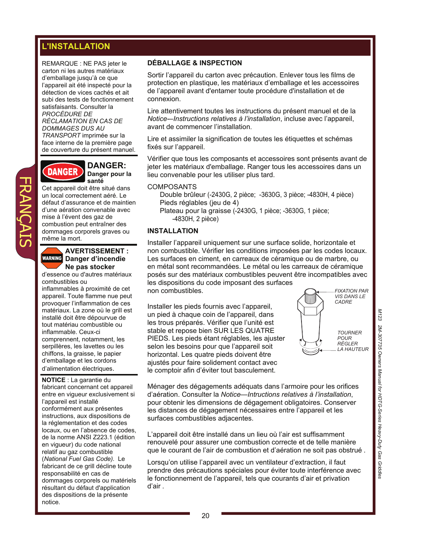## **L'INSTALLATION**

REMARQUE : NE PAS jeter le carton ni les autres matériaux d'emballage jusqu'à ce que l'appareil ait été inspecté pour la détection de vices cachés et ait subi des tests de fonctionnement satisfaisants. Consulter la *PROCÉDURE DE RÉCLAMATION EN CAS DE DOMMAGES DUS AU TRANSPORT* imprimée sur la face interne de la première page de couverture du présent manuel.



**DANGER: Danger pour la santé** 

Cet appareil doit être situé dans un local correctement aéré. Le défaut d'assurance et de maintien d'une aération convenable avec mise à l'évent des gaz de combustion peut entraîner des dommages corporels graves ou même la mort.



FRANÇAIS

#### **AVERTISSEMENT : Danger d'incendie Ne pas stocker**

d'essence ou d'autres matériaux combustibles ou

inflammables à proximité de cet appareil. Toute flamme nue peut provoquer l'inflammation de ces matériaux. La zone où le grill est installé doit être dépourvue de tout matériau combustible ou inflammable. Ceux-ci comprennent, notamment, les serpillères, les lavettes ou les chiffons, la graisse, le papier d'emballage et les cordons d'alimentation électriques.

**NOTICE** : La garantie du fabricant concernant cet appareil entre en vigueur exclusivement si l'appareil est installé conformément aux présentes instructions, aux dispositions de la réglementation et des codes locaux, ou en l'absence de codes, de la norme ANSI Z223.1 (édition en vigueur) du code national relatif au gaz combustible (*National Fuel Gas Code).* Le fabricant de ce grill décline toute responsabilité en cas de dommages corporels ou matériels résultant du défaut d'application des dispositions de la présente notice.

#### **DÉBALLAGE & INSPECTION**

Sortir l'appareil du carton avec précaution. Enlever tous les films de protection en plastique, les matériaux d'emballage et les accessoires de l'appareil avant d'entamer toute procédure d'installation et de connexion.

Lire attentivement toutes les instructions du présent manuel et de la *Notice-–Instructions relatives à l'installation*, incluse avec l'appareil, avant de commencer l'installation.

Lire et assimiler la signification de toutes les étiquettes et schémas fixés sur l'appareil.

Vérifier que tous les composants et accessoires sont présents avant de jeter les matériaux d'emballage. Ranger tous les accessoires dans un lieu convenable pour les utiliser plus tard.

#### **COMPOSANTS**

Double brûleur (-2430G, 2 pièce; -3630G, 3 pièce; -4830H, 4 pièce) Pieds réglables (jeu de 4) Plateau pour la graisse (-2430G, 1 pièce; -3630G, 1 pièce; -4830H, 2 pièce)

#### **INSTALLATION**

Installer l'appareil uniquement sur une surface solide, horizontale et non combustible. Vérifier les conditions imposées par les codes locaux. Les surfaces en ciment, en carreaux de céramique ou de marbre, ou en métal sont recommandées. Le métal ou les carreaux de céramique posés sur des matériaux combustibles peuvent être incompatibles avec les dispositions du code imposant des surfaces non combustibles.

Installer les pieds fournis avec l'appareil, un pied à chaque coin de l'appareil, dans les trous préparés. Vérifier que l'unité est stable et repose bien SUR LES QUATRE PIEDS. Les pieds étant réglables, les ajuster selon les besoins pour que l'appareil soit horizontal. Les quatre pieds doivent être ajustés pour faire solidement contact avec le comptoir afin d'éviter tout basculement.



Ménager des dégagements adéquats dans l'armoire pour les orifices d'aération. Consulter la *Notice—Intructions relatives à l'installation*, pour obtenir les dimensions de dégagement obligatoires. Conserver les distances de dégagement nécessaires entre l'appareil et les surfaces combustibles adjacentes.

L'appareil doit être installé dans un lieu où l'air est suffisamment renouvelé pour assurer une combustion correcte et de telle manière que le courant de l'air de combustion et d'aération ne soit pas obstrué .

Lorsqu'on utilise l'appareil avec un ventilateur d'extraction, il faut prendre des précautions spéciales pour éviter toute interférence avec le fonctionnement de l'appareil, tels que courants d'air et privation d'air .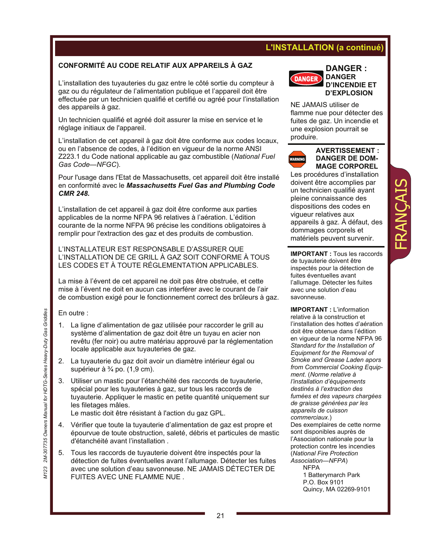## **L'INSTALLATION (a continué)**

#### **CONFORMITÉ AU CODE RELATIF AUX APPAREILS À GAZ**

L'installation des tuyauteries du gaz entre le côté sortie du compteur à gaz ou du régulateur de l'alimentation publique et l'appareil doit être effectuée par un technicien qualifié et certifié ou agréé pour l'installation des appareils à gaz.

Un technicien qualifié et agréé doit assurer la mise en service et le réglage initiaux de l'appareil.

L'installation de cet appareil à gaz doit être conforme aux codes locaux, ou en l'absence de codes, à l'édition en vigueur de la norme ANSI Z223.1 du Code national applicable au gaz combustible (*National Fuel Gas Code—NFGC*).

Pour l'usage dans l'Etat de Massachusetts, cet appareil doit être installé en conformité avec le *Massachusetts Fuel Gas and Plumbing Code CMR 248.*

L'installation de cet appareil à gaz doit être conforme aux parties applicables de la norme NFPA 96 relatives à l'aération. L'édition courante de la norme NFPA 96 précise les conditions obligatoires à remplir pour l'extraction des gaz et des produits de combustion.

L'INSTALLATEUR EST RESPONSABLE D'ASSURER QUE L'INSTALLATION DE CE GRILL À GAZ SOIT CONFORME À TOUS LES CODES ET À TOUTE RÉGLEMENTATION APPLICABLES.

La mise à l'évent de cet appareil ne doit pas être obstruée, et cette mise à l'évent ne doit en aucun cas interférer avec le courant de l'air de combustion exigé pour le fonctionnement correct des brûleurs à gaz.

En outre :

- 1. La ligne d'alimentation de gaz utilisée pour raccorder le grill au système d'alimentation de gaz doit être un tuyau en acier non revêtu (fer noir) ou autre matériau approuvé par la réglementation locale applicable aux tuyauteries de gaz.
- 2. La tuyauterie du gaz doit avoir un diamètre intérieur égal ou supérieur à ¾ po. (1,9 cm).
- 3. Utiliser un mastic pour l'étanchéité des raccords de tuyauterie, spécial pour les tuyauteries à gaz, sur tous les raccords de tuyauterie. Appliquer le mastic en petite quantité uniquement sur les filetages mâles.

Le mastic doit être résistant à l'action du gaz GPL.

- 4. Vérifier que toute la tuyauterie d'alimentation de gaz est propre et épourvue de toute obstruction, saleté, débris et particules de mastic d'étanchéité avant l'installation .
- 5. Tous les raccords de tuyauterie doivent être inspectés pour la détection de fuites éventuelles avant l'allumage. Détecter les fuites avec une solution d'eau savonneuse. NE JAMAIS DÉTECTER DE FUITES AVEC UNE FLAMME NUE .



**DANGER : DANGER D'INCENDIE ET D'EXPLOSION** 

NE JAMAIS utiliser de flamme nue pour détecter des fuites de gaz. Un incendie et une explosion pourrait se produire.



#### **AVERTISSEMENT : DANGER DE DOM- MAGE CORPOREL**

Les procédures d'installation doivent être accomplies par un technicien qualifié ayant pleine connaissance des dispositions des codes en vigueur relatives aux appareils à gaz. À défaut, des dommages corporels et matériels peuvent survenir.

FRANÇAIS

j **IMPORTANT :** Tous les raccords de tuyauterie doivent être inspectés pour la détection de fuites éventuelles avant l'allumage. Détecter les fuites avec une solution d'eau savonneuse.

**IMPORTANT :** L'information relative à la construction et l'installation des hottes d'aération doit être obtenue dans l'édition en vigueur de la norme NFPA 96 *Standard for the Installation of Equipment for the Removal of Smoke and Grease Laden apors from Commercial Cooking Equipment*. (*Norme relative à l'installation d'équipements destinés à l'extraction des fumées et des vapeurs chargées de graisse générées par les appareils de cuisson commerciaux*.) Des exemplaires de cette norme sont disponibles auprès de l'Association nationale pour la protection contre les incendies (*National Fire Protection Association—NFPA*)

**NFPA**  1 Batterymarch Park P.O. Box 9101 Quincy, MA 02269-9101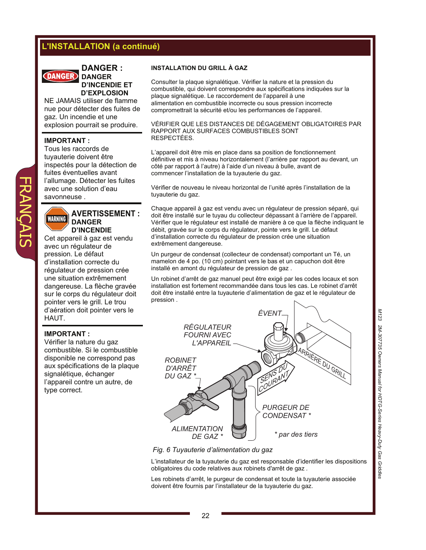## **L'INSTALLATION (a continué)**

**DANGER :** 



**DANGER D'INCENDIE ET D'EXPLOSION** 

NE JAMAIS utiliser de flamme nue pour détecter des fuites de gaz. Un incendie et une explosion pourrait se produire.

#### **IMPORTANT :**

Tous les raccords de tuyauterie doivent être inspectés pour la détection de fuites éventuelles avant l'allumage. Détecter les fuites avec une solution d'eau savonneuse .

#### **AVERTISSEMENT : WARNING DANGER D'INCENDIE**

Cet appareil à gaz est vendu avec un régulateur de pression. Le défaut d'installation correcte du régulateur de pression crée une situation extrêmement dangereuse. La flèche gravée sur le corps du régulateur doit pointer vers le grill. Le trou d'aération doit pointer vers le HAUT.

#### **IMPORTANT :**

Vérifier la nature du gaz combustible. Si le combustible disponible ne correspond pas aux spécifications de la plaque signalétique, échanger l'appareil contre un autre, de type correct.

#### **INSTALLATION DU GRILL À GAZ**

Consulter la plaque signalétique. Vérifier la nature et la pression du combustible, qui doivent correspondre aux spécifications indiquées sur la plaque signalétique. Le raccordement de l'appareil à une alimentation en combustible incorrecte ou sous pression incorrecte compromettrait la sécurité et/ou les performances de l'appareil.

#### VÉRIFIER QUE LES DISTANCES DE DÉGAGEMENT OBLIGATOIRES PAR RAPPORT AUX SURFACES COMBUSTIBLES SONT RESPECTÉES.

L'appareil doit être mis en place dans sa position de fonctionnement définitive et mis à niveau horizontalement (l'arrière par rapport au devant, un côté par rapport à l'autre) à l'aide d'un niveau à bulle, avant de commencer l'installation de la tuyauterie du gaz.

Vérifier de nouveau le niveau horizontal de l'unité après l'installation de la tuyauterie du gaz.

Chaque appareil à gaz est vendu avec un régulateur de pression séparé, qui doit être installé sur le tuyau du collecteur dépassant à l'arrière de l'appareil. Vérifier que le régulateur est installé de manière à ce que la flèche indiquant le débit, gravée sur le corps du régulateur, pointe vers le grill. Le défaut d'installation correcte du régulateur de pression crée une situation extrêmement dangereuse.

Un purgeur de condensat (collecteur de condensat) comportant un Té, un mamelon de 4 po. (10 cm) pointant vers le bas et un capuchon doit être installé en amont du régulateur de pression de gaz .

Un robinet d'arrêt de gaz manuel peut être exigé par les codes locaux et son installation est fortement recommandée dans tous les cas. Le robinet d'arrêt doit être installé entre la tuyauterie d'alimentation de gaz et le régulateur de pression .



#### *Fig. 6 Tuyauterie d'alimentation du gaz*

L'installateur de la tuyauterie du gaz est responsable d'identifier les dispositions obligatoires du code relatives aux robinets d'arrêt de gaz *.* 

Les robinets d'arrêt, le purgeur de condensat et toute la tuyauterie associée doivent être fournis par l'installateur de la tuyauterie du gaz.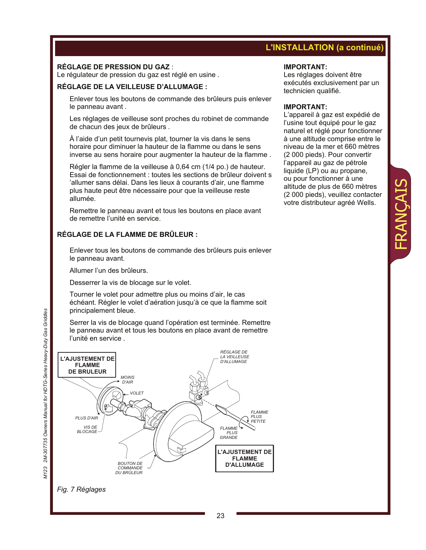## **L'INSTALLATION (a continué)**

Les réglages doivent être exécutés exclusivement par un

L'appareil à gaz est expédié de l'usine tout équipé pour le gaz naturel et réglé pour fonctionner à une altitude comprise entre le niveau de la mer et 660 mètres (2 000 pieds). Pour convertir l'appareil au gaz de pétrole liquide (LP) ou au propane, ou pour fonctionner à une altitude de plus de 660 mètres (2 000 pieds), veuillez contacter votre distributeur agréé Wells.

**IMPORTANT:** 

**IMPORTANT:** 

technicien qualifié.

#### **RÉGLAGE DE PRESSION DU GAZ** :

Le régulateur de pression du gaz est réglé en usine .

#### **RÉGLAGE DE LA VEILLEUSE D'ALLUMAGE :**

 Enlever tous les boutons de commande des brûleurs puis enlever le panneau avant .

 Les réglages de veilleuse sont proches du robinet de commande de chacun des jeux de brûleurs .

 À l'aide d'un petit tournevis plat, tourner la vis dans le sens horaire pour diminuer la hauteur de la flamme ou dans le sens inverse au sens horaire pour augmenter la hauteur de la flamme .

 Régler la flamme de la veilleuse à 0,64 cm (1/4 po.) de hauteur. Essai de fonctionnement : toutes les sections de brûleur doivent s 'allumer sans délai. Dans les lieux à courants d'air, une flamme plus haute peut être nécessaire pour que la veilleuse reste allumée.

 Remettre le panneau avant et tous les boutons en place avant de remettre l'unité en service.

#### **RÉGLAGE DE LA FLAMME DE BRÛLEUR :**

 Enlever tous les boutons de commande des brûleurs puis enlever le panneau avant.

Allumer l'un des brûleurs.

Desserrer la vis de blocage sur le volet.

 Tourner le volet pour admettre plus ou moins d'air, le cas échéant. Régler le volet d'aération jusqu'à ce que la flamme soit principalement bleue.

 Serrer la vis de blocage quand l'opération est terminée. Remettre le panneau avant et tous les boutons en place avant de remettre l'unité en service .



#### *Fig. 7 Réglages*

*M123 2M-307735 Owners Manual for HDTG-Series Heavy-Duty Gas Griddles* M123 2M-307735 Owners Manual for HDTG-Series Heavy-Duty Gas Griddles FRANÇAIS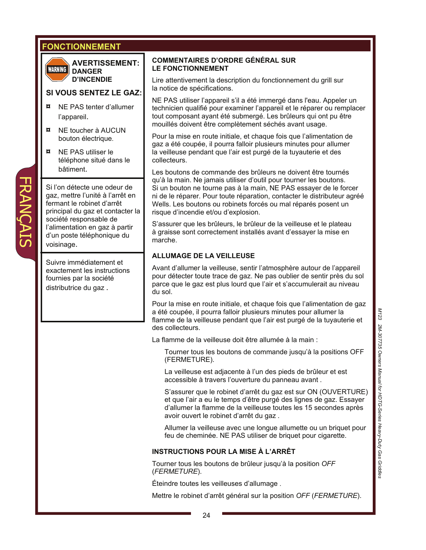## **FONCTIONNEMENT**



FRANÇAIS

**AVERTISSEMENT: DANGER D'INCENDIE** 

#### **SI VOUS SENTEZ LE GAZ:**

- **¤** NE PAS tenter d'allumer l'appareil.
- **¤** NE toucher à AUCUN bouton électrique.
- **¤** NE PAS utiliser le téléphone situé dans le bâtiment.

Si l'on détecte une odeur de gaz, mettre l'unité à l'arrêt en fermant le robinet d'arrêt principal du gaz et contacter la société responsable de l'alimentation en gaz à partir d'un poste téléphonique du voisinage.

Suivre immédiatement et exactement les instructions fournies par la société distributrice du gaz .

#### **COMMENTAIRES D'ORDRE GÉNÉRAL SUR LE FONCTIONNEMENT**

Lire attentivement la description du fonctionnement du grill sur la notice de spécifications.

NE PAS utiliser l'appareil s'il a été immergé dans l'eau. Appeler un technicien qualifié pour examiner l'appareil et le réparer ou remplacer tout composant ayant été submergé. Les brûleurs qui ont pu être mouillés doivent être complètement séchés avant usage.

Pour la mise en route initiale, et chaque fois que l'alimentation de gaz a été coupée, il pourra falloir plusieurs minutes pour allumer la veilleuse pendant que l'air est purgé de la tuyauterie et des collecteurs.

Les boutons de commande des brûleurs ne doivent être tournés qu'à la main. Ne jamais utiliser d'outil pour tourner les boutons. Si un bouton ne tourne pas à la main, NE PAS essayer de le forcer ni de le réparer. Pour toute réparation, contacter le distributeur agréé Wells. Les boutons ou robinets forcés ou mal réparés posent un risque d'incendie et/ou d'explosion.

S'assurer que les brûleurs, le brûleur de la veilleuse et le plateau à graisse sont correctement installés avant d'essayer la mise en marche.

#### **ALLUMAGE DE LA VEILLEUSE**

Avant d'allumer la veilleuse, sentir l'atmosphère autour de l'appareil pour détecter toute trace de gaz. Ne pas oublier de sentir près du sol parce que le gaz est plus lourd que l'air et s'accumulerait au niveau du sol.

Pour la mise en route initiale, et chaque fois que l'alimentation de gaz a été coupée, il pourra falloir plusieurs minutes pour allumer la flamme de la veilleuse pendant que l'air est purgé de la tuyauterie et des collecteurs.

La flamme de la veilleuse doit être allumée à la main :

 Tourner tous les boutons de commande jusqu'à la positions OFF (FERMETURE).

 La veilleuse est adjacente à l'un des pieds de brûleur et est accessible à travers l'ouverture du panneau avant .

 S'assurer que le robinet d'arrêt du gaz est sur ON (OUVERTURE) et que l'air a eu le temps d'être purgé des lignes de gaz. Essayer d'allumer la flamme de la veilleuse toutes les 15 secondes après avoir ouvert le robinet d'arrêt du gaz .

 Allumer la veilleuse avec une longue allumette ou un briquet pour feu de cheminée. NE PAS utiliser de briquet pour cigarette.

#### **INSTRUCTIONS POUR LA MISE À L'ARRÊT**

Tourner tous les boutons de brûleur jusqu'à la position *OFF* (*FERMETURE*).

Éteindre toutes les veilleuses d'allumage .

Mettre le robinet d'arrêt général sur la position *OFF* (*FERMETURE*).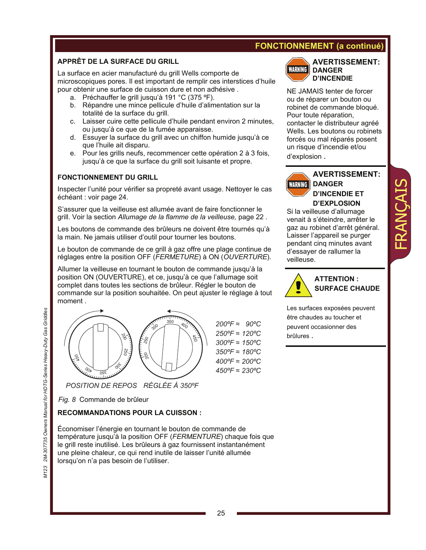## **FONCTIONNEMENT (a continué)**

#### **APPRÊT DE LA SURFACE DU GRILL**

La surface en acier manufacturé du grill Wells comporte de microscopiques pores. Il est important de remplir ces interstices d'huile pour obtenir une surface de cuisson dure et non adhésive .

- a. Préchauffer le grill jusqu'à 191 °C (375 ºF).
- b. Répandre une mince pellicule d'huile d'alimentation sur la totalité de la surface du grill.
- c. Laisser cuire cette pellicule d'huile pendant environ 2 minutes, ou jusqu'à ce que de la fumée apparaisse.
- d. Essuyer la surface du grill avec un chiffon humide jusqu'à ce que l'huile ait disparu.
- e. Pour les grills neufs, recommencer cette opération 2 à 3 fois, jusqu'à ce que la surface du grill soit luisante et propre.

#### **FONCTIONNEMENT DU GRILL**

Inspecter l'unité pour vérifier sa propreté avant usage. Nettoyer le cas échéant : voir page 24.

S'assurer que la veilleuse est allumée avant de faire fonctionner le grill. Voir la section *Allumage de la flamme de la veilleuse,* page 22 .

Les boutons de commande des brûleurs ne doivent être tournés qu'à la main. Ne jamais utiliser d'outil pour tourner les boutons.

Le bouton de commande de ce grill à gaz offre une plage continue de réglages entre la position OFF (*FERMETURE*) à ON (*OUVERTURE*).

Allumer la veilleuse en tournant le bouton de commande jusqu'à la position ON (OUVERTURE), et ce, jusqu'à ce que l'allumage soit complet dans toutes les sections de brûleur. Régler le bouton de commande sur la position souhaitée. On peut ajuster le réglage à tout moment .



*200ºF 90* ≈ *ºC 250°F* ≈ 120°C *300°F* ≈ 150°C *350°F* ≈ 180°C *999 - 199*<br>200°F ≈ 200°C *450°F* ≈ 230°C

*Fig. 8* Commande de brûleur

#### **RECOMMANDATIONS POUR LA CUISSON :**

*POSITION DE REPOS RÉGLÉE À 350ºF*

Économiser l'énergie en tournant le bouton de commande de température jusqu'à la position OFF (*FERMENTURE*) chaque fois que le grill reste inutilisé. Les brûleurs à gaz fournissent instantanément une pleine chaleur, ce qui rend inutile de laisser l'unité allumée lorsqu'on n'a pas besoin de l'utiliser.



#### **AVERTISSEMENT: DANGER D'INCENDIE**

NE JAMAIS tenter de forcer ou de réparer un bouton ou robinet de commande bloqué. Pour toute réparation, contacter le distributeur agréé Wells. Les boutons ou robinets forcés ou mal réparés posent un risque d'incendie et/ou d'explosion .



## **AVERTISSEMENT: DANGER D'INCENDIE ET D'EXPLOSION**

FRANÇAIS

Si la veilleuse d'allumage venait à s'éteindre, arrêter le gaz au robinet d'arrêt général. Laisser l'appareil se purger pendant cinq minutes avant d'essayer de rallumer la veilleuse.



**ATTENTION : SURFACE CHAUDE** 

Les surfaces exposées peuvent être chaudes au toucher et peuvent occasionner des brûlures .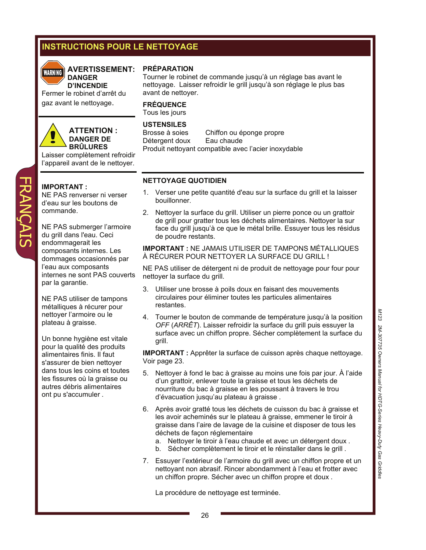## **INSTRUCTIONS POUR LE NETTOYAGE**



#### **AVERTISSEMENT: DANGER**

**D'INCENDIE**  Fermer le robinet d'arrêt du gaz avant le nettoyage.



FRANÇAIS

#### **ATTENTION : DANGER DE BRÛLURES**

Laisser complètement refroidir l'appareil avant de le nettoyer.

#### **IMPORTANT :**

NE PAS renverser ni verser d'eau sur les boutons de commande.

NE PAS submerger l'armoire du grill dans l'eau. Ceci endommagerait les composants internes. Les dommages occasionnés par l'eau aux composants internes ne sont PAS couverts par la garantie.

NE PAS utiliser de tampons métalliques à récurer pour nettoyer l'armoire ou le plateau à graisse.

Un bonne hygiène est vitale pour la qualité des produits alimentaires finis. Il faut s'assurer de bien nettoyer dans tous les coins et toutes les fissures où la graisse ou autres débris alimentaires ont pu s'accumuler .

#### **PRÉPARATION**

Tourner le robinet de commande jusqu'à un réglage bas avant le nettoyage. Laisser refroidir le grill jusqu'à son réglage le plus bas avant de nettoyer.

#### **FRÉQUENCE** Tous les jours

## **USTENSILES**

Brosse à soies Chiffon ou éponge propre Détergent doux Eau chaude Produit nettoyant compatible avec l'acier inoxydable

#### **NETTOYAGE QUOTIDIEN**

- 1. Verser une petite quantité d'eau sur la surface du grill et la laisser bouillonner.
- 2. Nettoyer la surface du grill. Utiliser un pierre ponce ou un grattoir de grill pour gratter tous les déchets alimentaires. Nettoyer la sur face du grill jusqu'à ce que le métal brille. Essuyer tous les résidus de poudre restants.

#### **IMPORTANT :** NE JAMAIS UTILISER DE TAMPONS MÉTALLIQUES À RÉCURER POUR NETTOYER LA SURFACE DU GRILL !

NE PAS utiliser de détergent ni de produit de nettoyage pour four pour nettoyer la surface du grill.

- 3. Utiliser une brosse à poils doux en faisant des mouvements circulaires pour éliminer toutes les particules alimentaires restantes.
- 4. Tourner le bouton de commande de température jusqu'à la position *OFF* (*ARRÊT*). Laisser refroidir la surface du grill puis essuyer la surface avec un chiffon propre. Sécher complètement la surface du grill.

**IMPORTANT :** Apprêter la surface de cuisson après chaque nettoyage. Voir page 23.

- 5. Nettoyer à fond le bac à graisse au moins une fois par jour. À l'aide d'un grattoir, enlever toute la graisse et tous les déchets de nourriture du bac à graisse en les poussant à travers le trou d'évacuation jusqu'au plateau à graisse .
- 6. Après avoir gratté tous les déchets de cuisson du bac à graisse et les avoir acheminés sur le plateau à graisse, emmener le tiroir à graisse dans l'aire de lavage de la cuisine et disposer de tous les déchets de façon réglementaire
	- a. Nettoyer le tiroir à l'eau chaude et avec un détergent doux .
	- b. Sécher complètement le tiroir et le réinstaller dans le grill .
- 7. Essuyer l'extérieur de l'armoire du grill avec un chiffon propre et un nettoyant non abrasif. Rincer abondamment à l'eau et frotter avec un chiffon propre. Sécher avec un chiffon propre et doux .

La procédure de nettoyage est terminée.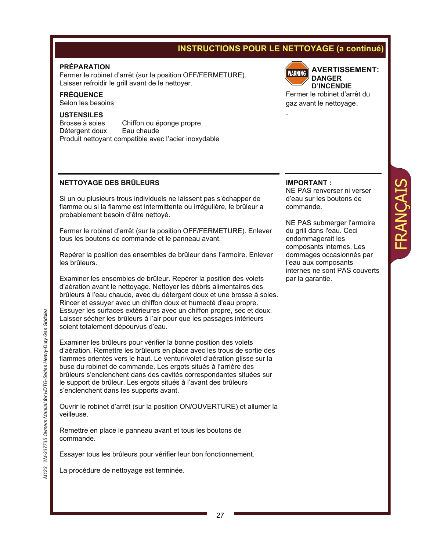## **INSTRUCTIONS POUR LE NETTOYAGE (a continué)**

.

#### **PRÉPARATION**

Fermer le robinet d'arrêt (sur la position OFF/FERMETURE). Laisser refroidir le grill avant de le nettoyer.

#### **FRÉQUENCE**

Selon les besoins

#### **USTENSILES**

Brosse à soies Chiffon ou éponge propre<br>Détergent doux Eau chaude Détergent doux Produit nettoyant compatible avec l'acier inoxydable

#### **NETTOYAGE DES BRÛLEURS**

Si un ou plusieurs trous individuels ne laissent pas s'échapper de flamme ou si la flamme est intermittente ou irrégulière, le brûleur a probablement besoin d'être nettoyé.

Fermer le robinet d'arrêt (sur la position OFF/FERMETURE). Enlever tous les boutons de commande et le panneau avant.

Repérer la position des ensembles de brûleur dans l'armoire. Enlever les brûleurs.

Examiner les ensembles de brûleur. Repérer la position des volets d'aération avant le nettoyage. Nettoyer les débris alimentaires des brûleurs à l'eau chaude, avec du détergent doux et une brosse à soies. Rincer et essuyer avec un chiffon doux et humecté d'eau propre. Essuyer les surfaces extérieures avec un chiffon propre, sec et doux. Laisser sécher les brûleurs à l'air pour que les passages intérieurs soient totalement dépourvus d'eau.

Examiner les brûleurs pour vérifier la bonne position des volets d'aération. Remettre les brûleurs en place avec les trous de sortie des flammes orientés vers le haut. Le venturi/volet d'aération glisse sur la buse du robinet de commande. Les ergots situés à l'arrière des brûleurs s'enclenchent dans des cavités correspondantes situées sur le support de brûleur. Les ergots situés à l'avant des brûleurs s'enclenchent dans les supports avant.

Ouvrir le robinet d'arrêt (sur la position ON/OUVERTURE) et allumer la veilleuse.

Remettre en place le panneau avant et tous les boutons de commande.

Essayer tous les brûleurs pour vérifier leur bon fonctionnement.

La procédure de nettoyage est terminée.

## **AVERTISSEMENT: WARNING**

**DANGER D'INCENDIE**  Fermer le robinet d'arrêt du

gaz avant le nettoyage.

#### **IMPORTANT :**

NE PAS renverser ni verser d'eau sur les boutons de commande.

FRANÇAIS

NE PAS submerger l'armoire du grill dans l'eau. Ceci endommagerait les composants internes. Les dommages occasionnés par l'eau aux composants internes ne sont PAS couverts par la garantie.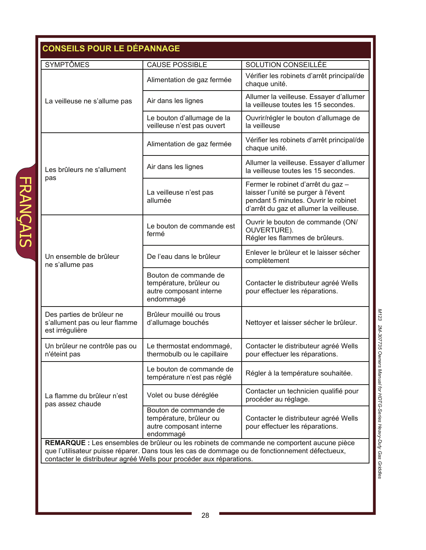|                                                                               | <b>CAUSE POSSIBLE</b>                                                                    | SOLUTION CONSEILLÉE                                                                                                                                          |
|-------------------------------------------------------------------------------|------------------------------------------------------------------------------------------|--------------------------------------------------------------------------------------------------------------------------------------------------------------|
|                                                                               | Alimentation de gaz fermée                                                               | Vérifier les robinets d'arrêt principal/de<br>chaque unité.                                                                                                  |
| La veilleuse ne s'allume pas                                                  | Air dans les lignes                                                                      | Allumer la veilleuse. Essayer d'allumer<br>la veilleuse toutes les 15 secondes.                                                                              |
|                                                                               | Le bouton d'allumage de la<br>veilleuse n'est pas ouvert                                 | Ouvrir/régler le bouton d'allumage de<br>la veilleuse                                                                                                        |
|                                                                               | Alimentation de gaz fermée                                                               | Vérifier les robinets d'arrêt principal/de<br>chaque unité.                                                                                                  |
| Les brûleurs ne s'allument                                                    | Air dans les lignes                                                                      | Allumer la veilleuse. Essayer d'allumer<br>la veilleuse toutes les 15 secondes.                                                                              |
| pas                                                                           | La veilleuse n'est pas<br>allumée                                                        | Fermer le robinet d'arrêt du gaz -<br>laisser l'unité se purger à l'évent<br>pendant 5 minutes. Ouvrir le robinet<br>d'arrêt du gaz et allumer la veilleuse. |
|                                                                               | Le bouton de commande est<br>fermé                                                       | Ouvrir le bouton de commande (ON/<br>OUVERTURE).<br>Régler les flammes de brûleurs.                                                                          |
| Un ensemble de brûleur<br>ne s'allume pas                                     | De l'eau dans le brûleur                                                                 | Enlever le brûleur et le laisser sécher<br>complètement                                                                                                      |
|                                                                               | Bouton de commande de<br>température, brûleur ou<br>autre composant interne<br>endommagé | Contacter le distributeur agréé Wells<br>pour effectuer les réparations.                                                                                     |
| Des parties de brûleur ne<br>s'allument pas ou leur flamme<br>est irrégulière | Brûleur mouillé ou trous<br>d'allumage bouchés                                           | Nettoyer et laisser sécher le brûleur.                                                                                                                       |
| Un brûleur ne contrôle pas ou<br>n'éteint pas                                 | Le thermostat endommagé,<br>thermobulb ou le capillaire                                  | Contacter le distributeur agréé Wells<br>pour effectuer les réparations.                                                                                     |
|                                                                               | Le bouton de commande de<br>température n'est pas réglé                                  | Régler à la température souhaitée.                                                                                                                           |
| La flamme du brûleur n'est<br>pas assez chaude                                | Volet ou buse déréglée                                                                   | Contacter un technicien qualifié pour<br>procéder au réglage.                                                                                                |
|                                                                               | Bouton de commande de<br>température, brûleur ou<br>autre composant interne<br>endommagé | Contacter le distributeur agréé Wells<br>pour effectuer les réparations.                                                                                     |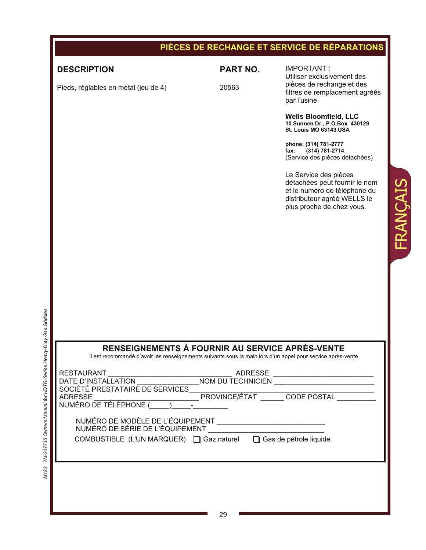|                                                                                                                                                                |                 | PIÈCES DE RECHANGE ET SERVICE DE RÉPARATIONS                                                                                                                   |
|----------------------------------------------------------------------------------------------------------------------------------------------------------------|-----------------|----------------------------------------------------------------------------------------------------------------------------------------------------------------|
| <b>DESCRIPTION</b>                                                                                                                                             | <b>PART NO.</b> | IMPORTANT:<br>Utiliser exclusivement des                                                                                                                       |
| Pieds, réglables en métal (jeu de 4)                                                                                                                           | 20563           | pièces de rechange et des<br>filtres de remplacement agréés<br>par l'usine.                                                                                    |
|                                                                                                                                                                |                 | <b>Wells Bloomfield, LLC</b><br>10 Sunnen Dr., P.O.Box 430129<br>St. Louis MO 63143 USA                                                                        |
|                                                                                                                                                                |                 | phone: (314) 781-2777<br>(314) 781-2714<br>fax:<br>(Service des pièces détachées)                                                                              |
|                                                                                                                                                                |                 | Le Service des pièces<br>FRANÇAIS<br>détachées peut fournir le nom<br>et le numéro de téléphone du<br>distributeur agréé WELLS le<br>plus proche de chez vous. |
|                                                                                                                                                                |                 |                                                                                                                                                                |
|                                                                                                                                                                |                 |                                                                                                                                                                |
|                                                                                                                                                                |                 |                                                                                                                                                                |
|                                                                                                                                                                |                 |                                                                                                                                                                |
| RENSEIGNEMENTS À FOURNIR AU SERVICE APRÈS-VENTE<br>Il est recommandé d'avoir les renseignements suivants sous la main lors d'un appel pour service après-vente |                 |                                                                                                                                                                |
|                                                                                                                                                                |                 |                                                                                                                                                                |
|                                                                                                                                                                |                 |                                                                                                                                                                |
|                                                                                                                                                                |                 |                                                                                                                                                                |
| NUMÉRO DE MODÈLE DE L'ÉQUIPEMENT                                                                                                                               |                 |                                                                                                                                                                |
| COMBUSTIBLE (L'UN MARQUER) □ Gaz naturel □ Gas de pétrole liquide                                                                                              |                 |                                                                                                                                                                |
|                                                                                                                                                                |                 |                                                                                                                                                                |
|                                                                                                                                                                |                 |                                                                                                                                                                |
|                                                                                                                                                                |                 |                                                                                                                                                                |

M123 2M-307735 Owners Manual for HDTG-Series Heavy-Duty Gas Griddles *M123 2M-307735 Owners Manual for HDTG-Series Heavy-Duty Gas Griddles*